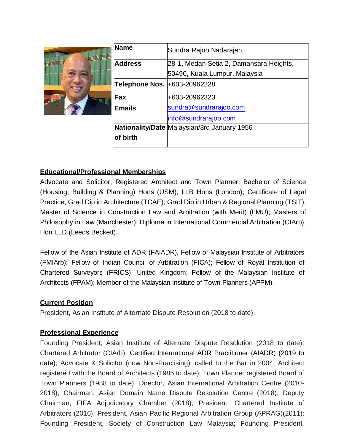

| <b>Name</b>                  | Sundra Rajoo Nadarajah                      |
|------------------------------|---------------------------------------------|
| <b>Address</b>               | 28-1, Medan Setia 2, Damansara Heights,     |
|                              | 50490, Kuala Lumpur, Malaysia               |
| Telephone Nos. +603-20962228 |                                             |
| Fax                          | +603-20962323                               |
| <b>Emails</b>                | sundra@sundrarajoo.com                      |
|                              | info@sundrarajoo.com                        |
|                              | Nationality/Date Malaysian/3rd January 1956 |
| of birth                     |                                             |
|                              |                                             |

## **Educational/Professional Memberships**

Advocate and Solicitor, Registered Architect and Town Planner, Bachelor of Science (Housing, Building & Planning) Hons (USM); LLB Hons (London); Certificate of Legal Practice; Grad Dip in Architecture (TCAE); Grad Dip in Urban & Regional Planning (TSIT); Master of Science in Construction Law and Arbitration (with Merit) (LMU); Masters of Philosophy in Law (Manchester); Diploma in International Commercial Arbitration (CIArb), Hon LLD (Leeds Beckett).

Fellow of the Asian Institute of ADR (FAIADR), Fellow of Malaysian Institute of Arbitrators (FMIArb); Fellow of Indian Council of Arbitration (FICA); Fellow of Royal Institution of Chartered Surveyors (FRICS), United Kingdom; Fellow of the Malaysian Institute of Architects (FPAM); Member of the Malaysian Institute of Town Planners (APPM).

## **Current Position**

President, Asian Institute of Alternate Dispute Resolution (2018 to date).

## **Professional Experience**

Founding President, Asian Institute of Alternate Dispute Resolution (2018 to date); Chartered Arbitrator (CIArb); Certified International ADR Practitioner (AIADR) (2019 to date); Advocate & Solicitor (now Non-Practising); called to the Bar in 2004; Architect registered with the Board of Architects (1985 to date); Town Planner registered Board of Town Planners (1988 to date); Director, Asian International Arbitration Centre (2010- 2018); Chairman, Asian Domain Name Dispute Resolution Centre (2018); Deputy Chairman, FIFA Adjudicatory Chamber (2018); President, Chartered Institute of Arbitrators (2016); President, Asian Pacific Regional Arbitration Group (APRAG)(2011); Founding President, Society of Construction Law Malaysia; Founding President,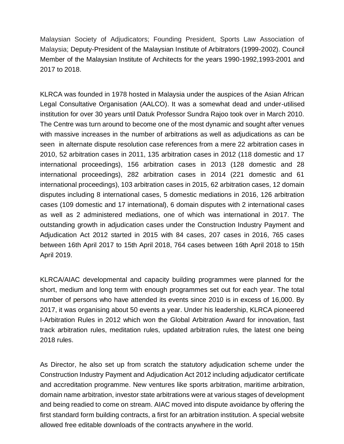Malaysian Society of Adjudicators; Founding President, Sports Law Association of Malaysia; Deputy-President of the Malaysian Institute of Arbitrators (1999-2002). Council Member of the Malaysian Institute of Architects for the years 1990-1992,1993-2001 and 2017 to 2018.

KLRCA was founded in 1978 hosted in Malaysia under the auspices of the Asian African Legal Consultative Organisation (AALCO). It was a somewhat dead and under-utilised institution for over 30 years until Datuk Professor Sundra Rajoo took over in March 2010. The Centre was turn around to become one of the most dynamic and sought after venues with massive increases in the number of arbitrations as well as adjudications as can be seen in alternate dispute resolution case references from a mere 22 arbitration cases in 2010, 52 arbitration cases in 2011, 135 arbitration cases in 2012 (118 domestic and 17 international proceedings), 156 arbitration cases in 2013 (128 domestic and 28 international proceedings), 282 arbitration cases in 2014 (221 domestic and 61 international proceedings), 103 arbitration cases in 2015, 62 arbitration cases, 12 domain disputes including 8 international cases, 5 domestic mediations in 2016, 126 arbitration cases (109 domestic and 17 international), 6 domain disputes with 2 international cases as well as 2 administered mediations, one of which was international in 2017. The outstanding growth in adjudication cases under the Construction Industry Payment and Adjudication Act 2012 started in 2015 with 84 cases, 207 cases in 2016, 765 cases between 16th April 2017 to 15th April 2018, 764 cases between 16th April 2018 to 15th April 2019.

KLRCA/AIAC developmental and capacity building programmes were planned for the short, medium and long term with enough programmes set out for each year. The total number of persons who have attended its events since 2010 is in excess of 16,000. By 2017, it was organising about 50 events a year. Under his leadership, KLRCA pioneered I-Arbitration Rules in 2012 which won the Global Arbitration Award for innovation, fast track arbitration rules, meditation rules, updated arbitration rules, the latest one being 2018 rules.

As Director, he also set up from scratch the statutory adjudication scheme under the Construction Industry Payment and Adjudication Act 2012 including adjudicator certificate and accreditation programme. New ventures like sports arbitration, maritime arbitration, domain name arbitration, investor state arbitrations were at various stages of development and being readied to come on stream. AIAC moved into dispute avoidance by offering the first standard form building contracts, a first for an arbitration institution. A special website allowed free editable downloads of the contracts anywhere in the world.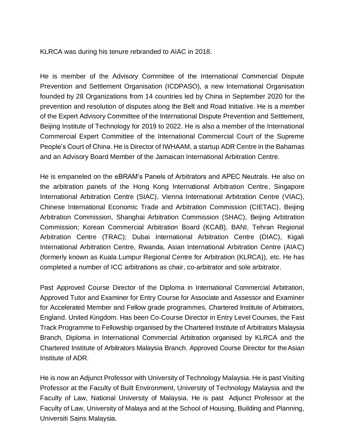KLRCA was during his tenure rebranded to AIAC in 2018.

He is member of the Advisory Committee of the International Commercial Dispute Prevention and Settlement Organisation (ICDPASO), a new International Organisation founded by 28 Organizations from 14 countries led by China in September 2020 for the prevention and resolution of disputes along the Belt and Road Initiative. He is a member of the Expert Advisory Committee of the International Dispute Prevention and Settlement, Beijing Institute of Technology for 2019 to 2022. He is also a member of the International Commercial Expert Committee of the International Commercial Court of the Supreme People's Court of China. He is Director of IWHAAM, a startup ADR Centre in the Bahamas and an Advisory Board Member of the Jamaican International Arbitration Centre.

He is empaneled on the eBRAM's Panels of Arbitrators and APEC Neutrals. He also on the arbitration panels of the Hong Kong International Arbitration Centre, Singapore International Arbitration Centre (SIAC), Vienna International Arbitration Centre (VIAC), Chinese International Economic Trade and Arbitration Commission (CIETAC), Beijing Arbitration Commission, Shanghai Arbitration Commission (SHAC), Beijing Arbitration Commission; Korean Commercial Arbitration Board (KCAB), BANI, Tehran Regional Arbitration Centre (TRAC); Dubai International Arbitration Centre (DIAC), Kigali International Arbitration Centre, Rwanda, Asian International Arbitration Centre (AIAC) (formerly known as Kuala Lumpur Regional Centre for Arbitration (KLRCA)), etc. He has completed a number of ICC arbitrations as chair, co-arbitrator and sole arbitrator.

Past Approved Course Director of the Diploma in International Commercial Arbitration, Approved Tutor and Examiner for Entry Course for Associate and Assessor and Examiner for Accelerated Member and Fellow grade programmes, Chartered Institute of Arbitrators, England. United Kingdom. Has been Co-Course Director in Entry Level Courses, the Fast Track Programme to Fellowship organised by the Chartered Institute of Arbitrators Malaysia Branch, Diploma in International Commercial Arbitration organised by KLRCA and the Chartered Institute of Arbitrators Malaysia Branch. Approved Course Director for theAsian Institute of ADR.

He is now an Adjunct Professor with University of Technology Malaysia. He is past Visiting Professor at the Faculty of Built Environment, University of Technology Malaysia and the Faculty of Law, National University of Malaysia. He is past Adjunct Professor at the Faculty of Law, University of Malaya and at the School of Housing, Building and Planning, Universiti Sains Malaysia.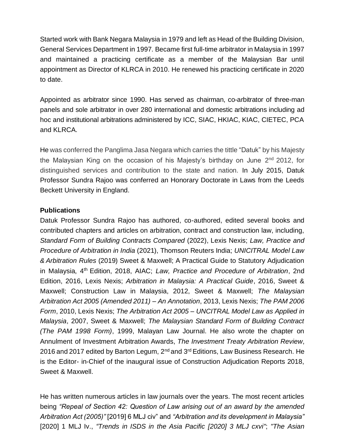Started work with Bank Negara Malaysia in 1979 and left as Head of the Building Division, General Services Department in 1997. Became first full-time arbitrator in Malaysia in 1997 and maintained a practicing certificate as a member of the Malaysian Bar until appointment as Director of KLRCA in 2010. He renewed his practicing certificate in 2020 to date.

Appointed as arbitrator since 1990. Has served as chairman, co-arbitrator of three-man panels and sole arbitrator in over 280 international and domestic arbitrations including ad hoc and institutional arbitrations administered by ICC, SIAC, HKIAC, KIAC, CIETEC, PCA and KLRCA.

He was conferred the Panglima Jasa Negara which carries the tittle "Datuk" by his Majesty the Malaysian King on the occasion of his Majesty's birthday on June 2<sup>nd</sup> 2012, for distinguished services and contribution to the state and nation. In July 2015, Datuk Professor Sundra Rajoo was conferred an Honorary Doctorate in Laws from the Leeds Beckett University in England.

## **Publications**

Datuk Professor Sundra Rajoo has authored, co-authored, edited several books and contributed chapters and articles on arbitration, contract and construction law, including, *Standard Form of Building Contracts Compared* (2022), Lexis Nexis; *Law, Practice and Procedure of Arbitration in India* (2021), Thomson Reuters India; *UNICITRAL Model Law & Arbitration Rules* (2019) Sweet & Maxwell; A Practical Guide to Statutory Adjudication in Malaysia, 4th Edition, 2018, AIAC; *Law, Practice and Procedure of Arbitration*, 2nd Edition, 2016, Lexis Nexis; *Arbitration in Malaysia: A Practical Guide*, 2016, Sweet & Maxwell; Construction Law in Malaysia, 2012, Sweet & Maxwell; *The Malaysian Arbitration Act 2005 (Amended 2011) – An Annotation*, 2013, Lexis Nexis; *The PAM 2006 Form*, 2010, Lexis Nexis; *The Arbitration Act 2005 – UNCITRAL Model Law as Applied in Malaysia*, 2007, Sweet & Maxwell; *The Malaysian Standard Form of Building Contract (The PAM 1998 Form)*, 1999, Malayan Law Journal. He also wrote the chapter on Annulment of Investment Arbitration Awards, *The Investment Treaty Arbitration Review*, 2016 and 2017 edited by Barton Legum,  $2^{nd}$  and  $3^{rd}$  Editions, Law Business Research. He is the Editor- in-Chief of the inaugural issue of Construction Adjudication Reports 2018, Sweet & Maxwell.

He has written numerous articles in law journals over the years. The most recent articles being *"Repeal of Section 42: Question of Law arising out of an award by the amended Arbitration Act (2005)"* [2019] 6 MLJ civ" and *"Arbitration and its development in Malaysia"* [2020] 1 MLJ Iv., *"Trends in ISDS in the Asia Pacific [2020] 3 MLJ cxvi"*; *"The Asian*